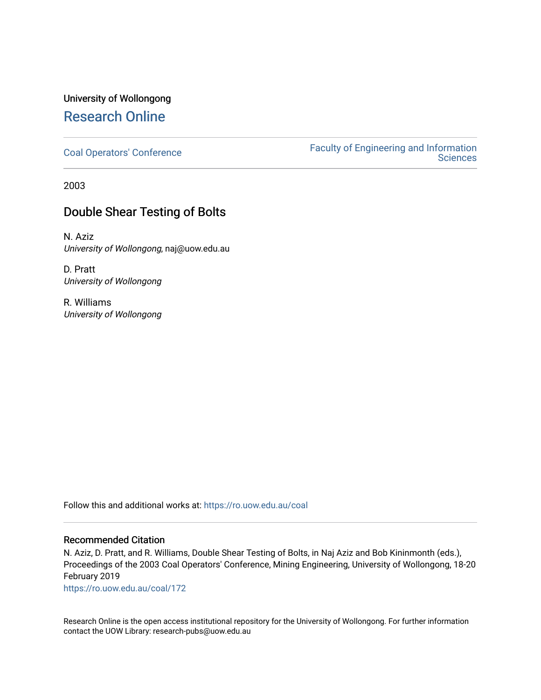# University of Wollongong [Research Online](https://ro.uow.edu.au/)

[Coal Operators' Conference](https://ro.uow.edu.au/coal) [Faculty of Engineering and Information](https://ro.uow.edu.au/eis)  **Sciences** 

2003

# Double Shear Testing of Bolts

N. Aziz University of Wollongong, naj@uow.edu.au

D. Pratt University of Wollongong

R. Williams University of Wollongong

Follow this and additional works at: [https://ro.uow.edu.au/coal](https://ro.uow.edu.au/coal?utm_source=ro.uow.edu.au%2Fcoal%2F172&utm_medium=PDF&utm_campaign=PDFCoverPages) 

### Recommended Citation

N. Aziz, D. Pratt, and R. Williams, Double Shear Testing of Bolts, in Naj Aziz and Bob Kininmonth (eds.), Proceedings of the 2003 Coal Operators' Conference, Mining Engineering, University of Wollongong, 18-20 February 2019

[https://ro.uow.edu.au/coal/172](https://ro.uow.edu.au/coal/172?utm_source=ro.uow.edu.au%2Fcoal%2F172&utm_medium=PDF&utm_campaign=PDFCoverPages) 

Research Online is the open access institutional repository for the University of Wollongong. For further information contact the UOW Library: research-pubs@uow.edu.au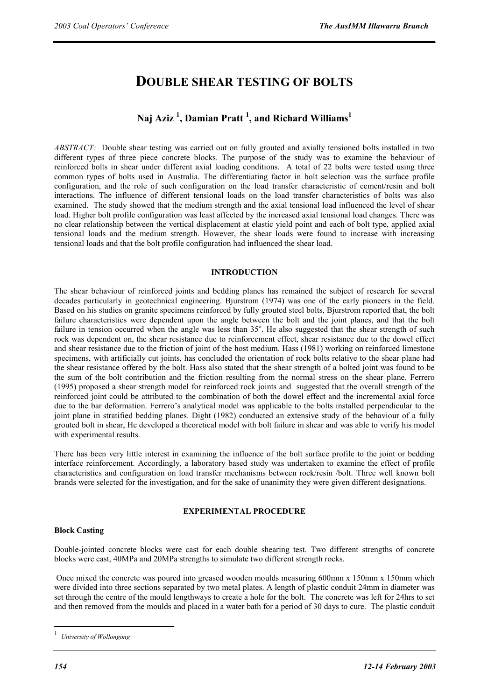# **DOUBLE SHEAR TESTING OF BOLTS**

## **Naj Aziz <sup>1</sup> , Damian Pratt <sup>1</sup> , and Richard Williams<sup>1</sup>**

*ABSTRACT:* Double shear testing was carried out on fully grouted and axially tensioned bolts installed in two different types of three piece concrete blocks. The purpose of the study was to examine the behaviour of reinforced bolts in shear under different axial loading conditions. A total of 22 bolts were tested using three common types of bolts used in Australia. The differentiating factor in bolt selection was the surface profile configuration, and the role of such configuration on the load transfer characteristic of cement/resin and bolt interactions. The influence of different tensional loads on the load transfer characteristics of bolts was also examined. The study showed that the medium strength and the axial tensional load influenced the level of shear load. Higher bolt profile configuration was least affected by the increased axial tensional load changes. There was no clear relationship between the vertical displacement at elastic yield point and each of bolt type, applied axial tensional loads and the medium strength. However, the shear loads were found to increase with increasing tensional loads and that the bolt profile configuration had influenced the shear load.

#### **INTRODUCTION**

The shear behaviour of reinforced joints and bedding planes has remained the subject of research for several decades particularly in geotechnical engineering. Bjurstrom (1974) was one of the early pioneers in the field. Based on his studies on granite specimens reinforced by fully grouted steel bolts, Bjurstrom reported that, the bolt failure characteristics were dependent upon the angle between the bolt and the joint planes, and that the bolt failure in tension occurred when the angle was less than 35°. He also suggested that the shear strength of such rock was dependent on, the shear resistance due to reinforcement effect, shear resistance due to the dowel effect and shear resistance due to the friction of joint of the host medium. Hass (1981) working on reinforced limestone specimens, with artificially cut joints, has concluded the orientation of rock bolts relative to the shear plane had the shear resistance offered by the bolt. Hass also stated that the shear strength of a bolted joint was found to be the sum of the bolt contribution and the friction resulting from the normal stress on the shear plane. Ferrero (1995) proposed a shear strength model for reinforced rock joints and suggested that the overall strength of the reinforced joint could be attributed to the combination of both the dowel effect and the incremental axial force due to the bar deformation. Ferrero's analytical model was applicable to the bolts installed perpendicular to the joint plane in stratified bedding planes. Dight (1982) conducted an extensive study of the behaviour of a fully grouted bolt in shear, He developed a theoretical model with bolt failure in shear and was able to verify his model with experimental results.

There has been very little interest in examining the influence of the bolt surface profile to the joint or bedding interface reinforcement. Accordingly, a laboratory based study was undertaken to examine the effect of profile characteristics and configuration on load transfer mechanisms between rock/resin /bolt. Three well known bolt brands were selected for the investigation, and for the sake of unanimity they were given different designations.

#### **EXPERIMENTAL PROCEDURE**

#### **Block Casting**

Double-jointed concrete blocks were cast for each double shearing test. Two different strengths of concrete blocks were cast, 40MPa and 20MPa strengths to simulate two different strength rocks.

 Once mixed the concrete was poured into greased wooden moulds measuring 600mm x 150mm x 150mm which were divided into three sections separated by two metal plates. A length of plastic conduit 24mm in diameter was set through the centre of the mould lengthways to create a hole for the bolt. The concrete was left for 24hrs to set and then removed from the moulds and placed in a water bath for a period of 30 days to cure. The plastic conduit

 $\overline{a}$ 

<sup>1</sup>  *University of Wollongong*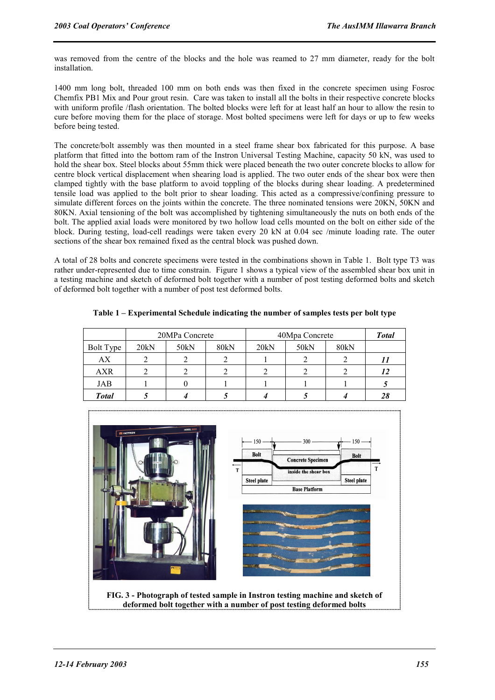was removed from the centre of the blocks and the hole was reamed to 27 mm diameter, ready for the bolt installation.

1400 mm long bolt, threaded 100 mm on both ends was then fixed in the concrete specimen using Fosroc Chemfix PB1 Mix and Pour grout resin. Care was taken to install all the bolts in their respective concrete blocks with uniform profile /flash orientation. The bolted blocks were left for at least half an hour to allow the resin to cure before moving them for the place of storage. Most bolted specimens were left for days or up to few weeks before being tested.

The concrete/bolt assembly was then mounted in a steel frame shear box fabricated for this purpose. A base platform that fitted into the bottom ram of the Instron Universal Testing Machine, capacity 50 kN, was used to hold the shear box. Steel blocks about 55mm thick were placed beneath the two outer concrete blocks to allow for centre block vertical displacement when shearing load is applied. The two outer ends of the shear box were then clamped tightly with the base platform to avoid toppling of the blocks during shear loading. A predetermined tensile load was applied to the bolt prior to shear loading. This acted as a compressive/confining pressure to simulate different forces on the joints within the concrete. The three nominated tensions were 20KN, 50KN and 80KN. Axial tensioning of the bolt was accomplished by tightening simultaneously the nuts on both ends of the bolt. The applied axial loads were monitored by two hollow load cells mounted on the bolt on either side of the block. During testing, load-cell readings were taken every 20 kN at 0.04 sec /minute loading rate. The outer sections of the shear box remained fixed as the central block was pushed down.

A total of 28 bolts and concrete specimens were tested in the combinations shown in Table 1. Bolt type T3 was rather under-represented due to time constrain. Figure 1 shows a typical view of the assembled shear box unit in a testing machine and sketch of deformed bolt together with a number of post testing deformed bolts and sketch of deformed bolt together with a number of post test deformed bolts.

|                  | 20MPa Concrete |      |      | 40Mpa Concrete |      |      | <b>Total</b> |
|------------------|----------------|------|------|----------------|------|------|--------------|
| <b>Bolt Type</b> | 20kN           | 50kN | 80kN | 20kN           | 50kN | 80kN |              |
| АX               |                |      |      |                |      |      |              |
| <b>AXR</b>       |                |      |      |                |      |      | 12           |
| JAB              |                |      |      |                |      |      |              |
| <b>Total</b>     |                |      |      |                |      |      | 28           |

**Table 1 – Experimental Schedule indicating the number of samples tests per bolt type** 



**deformed bolt together with a number of post testing deformed bolts**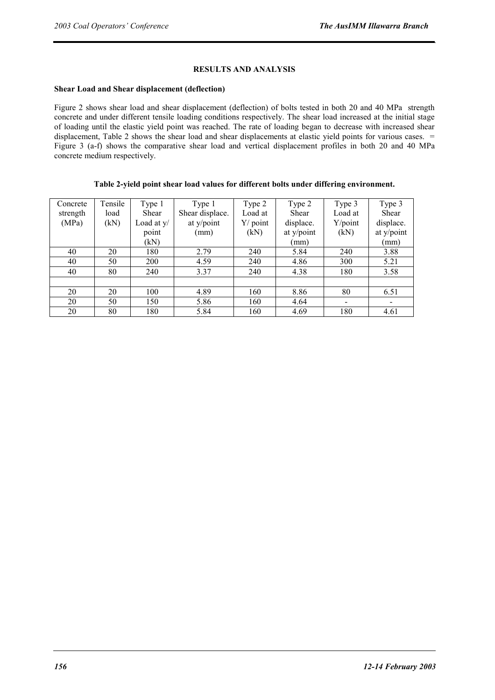### **RESULTS AND ANALYSIS**

#### **Shear Load and Shear displacement (deflection)**

Figure 2 shows shear load and shear displacement (deflection) of bolts tested in both 20 and 40 MPa strength concrete and under different tensile loading conditions respectively. The shear load increased at the initial stage of loading until the elastic yield point was reached. The rate of loading began to decrease with increased shear displacement, Table 2 shows the shear load and shear displacements at elastic yield points for various cases. = Figure 3 (a-f) shows the comparative shear load and vertical displacement profiles in both 20 and 40 MPa concrete medium respectively.

| Table 2-yield point shear load values for different bolts under differing environment. |  |  |
|----------------------------------------------------------------------------------------|--|--|
|                                                                                        |  |  |

| Concrete | Tensile | Type 1       | Type 1          | Type 2     | Type 2     | Type 3  | Type 3         |
|----------|---------|--------------|-----------------|------------|------------|---------|----------------|
| strength | load    | Shear        | Shear displace. | Load at    | Shear      | Load at | Shear          |
| (MPa)    | (kN)    | Load at $y/$ | at y/point      | $Y/$ point | displace.  | Y/point | displace.      |
|          |         | point        | (mm)            | (kN)       | at y/point | (kN)    | at y/point     |
|          |         | (kN)         |                 |            | (mm        |         | (mm)           |
| 40       | 20      | 180          | 2.79            | 240        | 5.84       | 240     | 3.88           |
| 40       | 50      | 200          | 4.59            | 240        | 4.86       | 300     | 5.21           |
| 40       | 80      | 240          | 3.37            | 240        | 4.38       | 180     | 3.58           |
|          |         |              |                 |            |            |         |                |
| 20       | 20      | 100          | 4.89            | 160        | 8.86       | 80      | 6.51           |
| 20       | 50      | 150          | 5.86            | 160        | 4.64       | $\,$    | $\blacksquare$ |
| 20       | 80      | 180          | 5.84            | 160        | 4.69       | 180     | 4.61           |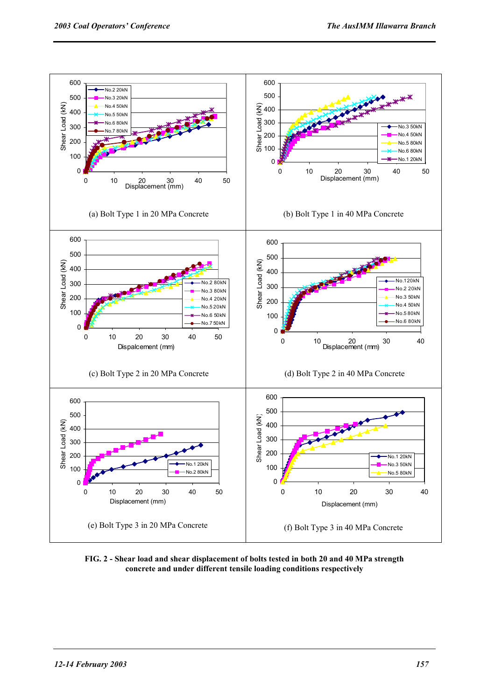

**FIG. 2 - Shear load and shear displacement of bolts tested in both 20 and 40 MPa strength concrete and under different tensile loading conditions respectively**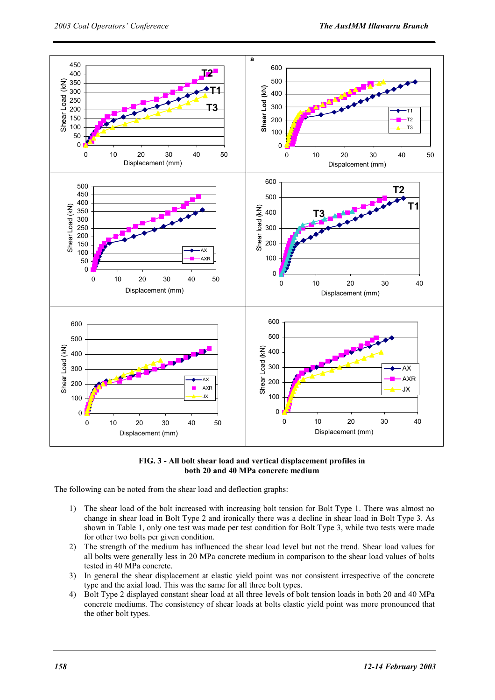

**FIG. 3 - All bolt shear load and vertical displacement profiles in both 20 and 40 MPa concrete medium** 

The following can be noted from the shear load and deflection graphs:

- 1) The shear load of the bolt increased with increasing bolt tension for Bolt Type 1. There was almost no change in shear load in Bolt Type 2 and ironically there was a decline in shear load in Bolt Type 3. As shown in Table 1, only one test was made per test condition for Bolt Type 3, while two tests were made for other two bolts per given condition.
- 2) The strength of the medium has influenced the shear load level but not the trend. Shear load values for all bolts were generally less in 20 MPa concrete medium in comparison to the shear load values of bolts tested in 40 MPa concrete.
- 3) In general the shear displacement at elastic yield point was not consistent irrespective of the concrete type and the axial load. This was the same for all three bolt types.
- 4) Bolt Type 2 displayed constant shear load at all three levels of bolt tension loads in both 20 and 40 MPa concrete mediums. The consistency of shear loads at bolts elastic yield point was more pronounced that the other bolt types.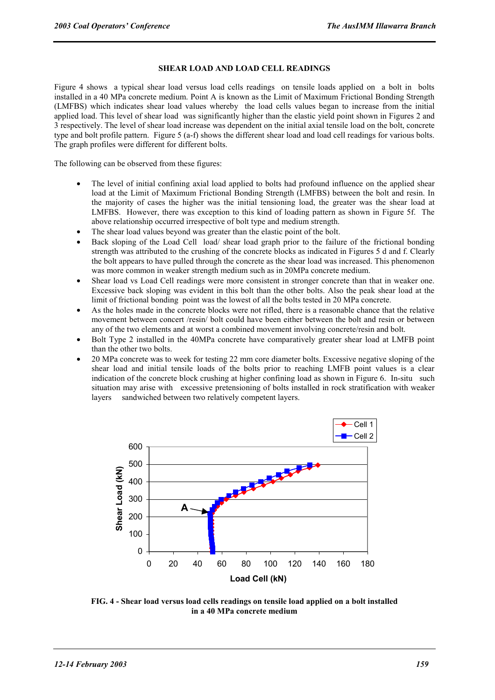### **SHEAR LOAD AND LOAD CELL READINGS**

Figure 4 shows a typical shear load versus load cells readings on tensile loads applied on a bolt in bolts installed in a 40 MPa concrete medium. Point A is known as the Limit of Maximum Frictional Bonding Strength (LMFBS) which indicates shear load values whereby the load cells values began to increase from the initial applied load. This level of shear load was significantly higher than the elastic yield point shown in Figures 2 and 3 respectively. The level of shear load increase was dependent on the initial axial tensile load on the bolt, concrete type and bolt profile pattern. Figure 5 (a-f) shows the different shear load and load cell readings for various bolts. The graph profiles were different for different bolts.

The following can be observed from these figures:

- The level of initial confining axial load applied to bolts had profound influence on the applied shear load at the Limit of Maximum Frictional Bonding Strength (LMFBS) between the bolt and resin. In the majority of cases the higher was the initial tensioning load, the greater was the shear load at LMFBS. However, there was exception to this kind of loading pattern as shown in Figure 5f. The above relationship occurred irrespective of bolt type and medium strength.
- The shear load values beyond was greater than the elastic point of the bolt.
- Back sloping of the Load Cell load/ shear load graph prior to the failure of the frictional bonding strength was attributed to the crushing of the concrete blocks as indicated in Figures 5 d and f. Clearly the bolt appears to have pulled through the concrete as the shear load was increased. This phenomenon was more common in weaker strength medium such as in 20MPa concrete medium.
- Shear load vs Load Cell readings were more consistent in stronger concrete than that in weaker one. Excessive back sloping was evident in this bolt than the other bolts. Also the peak shear load at the limit of frictional bonding point was the lowest of all the bolts tested in 20 MPa concrete.
- As the holes made in the concrete blocks were not rifled, there is a reasonable chance that the relative movement between concert /resin/ bolt could have been either between the bolt and resin or between any of the two elements and at worst a combined movement involving concrete/resin and bolt.
- Bolt Type 2 installed in the 40MPa concrete have comparatively greater shear load at LMFB point than the other two bolts.
- 20 MPa concrete was to week for testing 22 mm core diameter bolts. Excessive negative sloping of the shear load and initial tensile loads of the bolts prior to reaching LMFB point values is a clear indication of the concrete block crushing at higher confining load as shown in Figure 6. In-situ such situation may arise with excessive pretensioning of bolts installed in rock stratification with weaker layers sandwiched between two relatively competent layers.



**FIG. 4 - Shear load versus load cells readings on tensile load applied on a bolt installed in a 40 MPa concrete medium**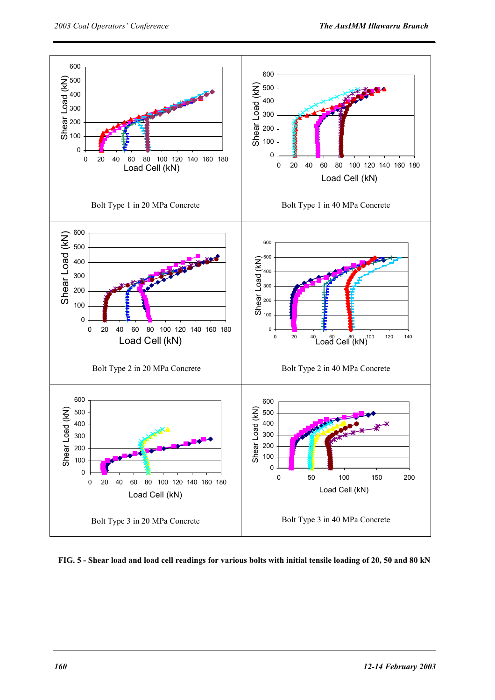

**FIG. 5 - Shear load and load cell readings for various bolts with initial tensile loading of 20, 50 and 80 kN**